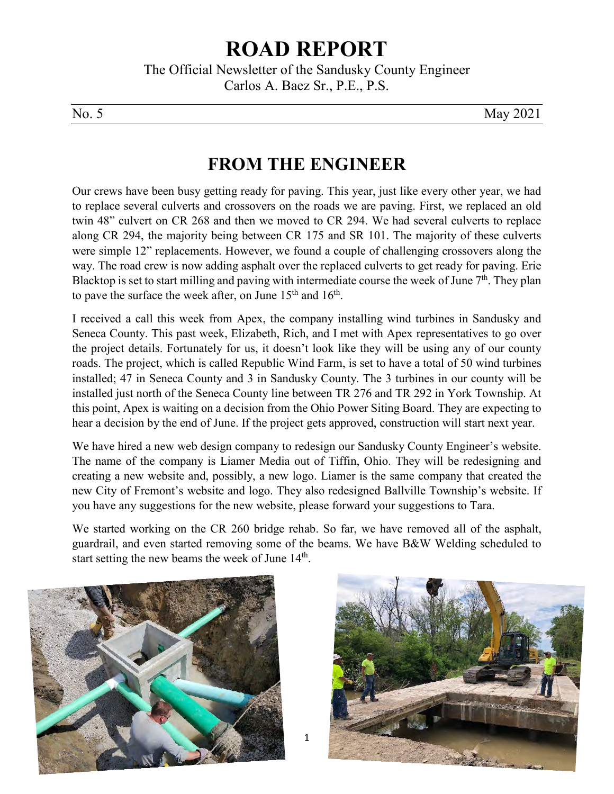## **ROAD REPORT**

The Official Newsletter of the Sandusky County Engineer Carlos A. Baez Sr., P.E., P.S.

No. 5 May 2021

## **FROM THE ENGINEER**

Our crews have been busy getting ready for paving. This year, just like every other year, we had to replace several culverts and crossovers on the roads we are paving. First, we replaced an old twin 48" culvert on CR 268 and then we moved to CR 294. We had several culverts to replace along CR 294, the majority being between CR 175 and SR 101. The majority of these culverts were simple 12" replacements. However, we found a couple of challenging crossovers along the way. The road crew is now adding asphalt over the replaced culverts to get ready for paving. Erie Blacktop is set to start milling and paving with intermediate course the week of June 7<sup>th</sup>. They plan to pave the surface the week after, on June  $15<sup>th</sup>$  and  $16<sup>th</sup>$ .

I received a call this week from Apex, the company installing wind turbines in Sandusky and Seneca County. This past week, Elizabeth, Rich, and I met with Apex representatives to go over the project details. Fortunately for us, it doesn't look like they will be using any of our county roads. The project, which is called Republic Wind Farm, is set to have a total of 50 wind turbines installed; 47 in Seneca County and 3 in Sandusky County. The 3 turbines in our county will be installed just north of the Seneca County line between TR 276 and TR 292 in York Township. At this point, Apex is waiting on a decision from the Ohio Power Siting Board. They are expecting to hear a decision by the end of June. If the project gets approved, construction will start next year.

We have hired a new web design company to redesign our Sandusky County Engineer's website. The name of the company is Liamer Media out of Tiffin, Ohio. They will be redesigning and creating a new website and, possibly, a new logo. Liamer is the same company that created the new City of Fremont's website and logo. They also redesigned Ballville Township's website. If you have any suggestions for the new website, please forward your suggestions to Tara.

We started working on the CR 260 bridge rehab. So far, we have removed all of the asphalt, guardrail, and even started removing some of the beams. We have B&W Welding scheduled to start setting the new beams the week of June  $14<sup>th</sup>$ .

1



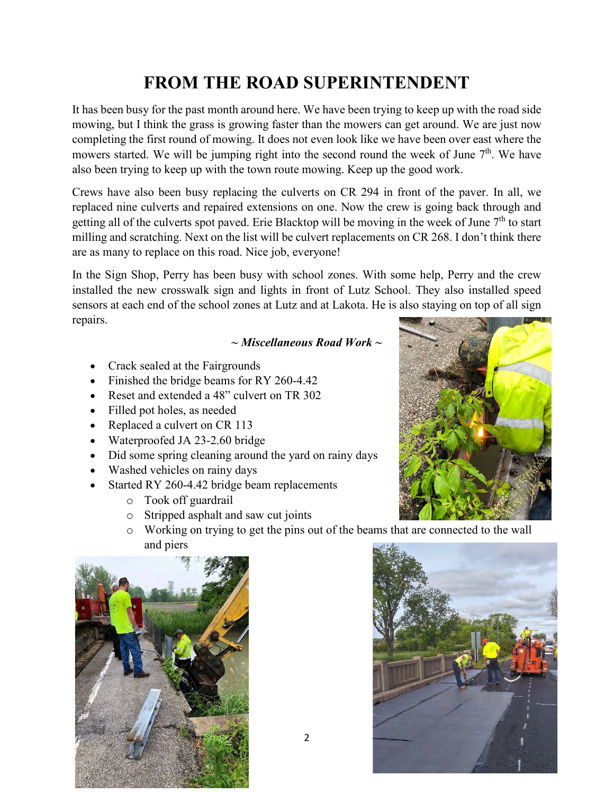## **FROM THE ROAD SUPERINTENDENT**

It has been busy for the past month around here. We have been trying to keep up with the road side mowing, but I think the grass is growing faster than the mowers can get around. We are just now completing the first round of mowing. It does not even look like we have been over east where the mowers started. We will be jumping right into the second round the week of June  $7<sup>th</sup>$ . We have also been trying to keep up with the town route mowing. Keep up the good work.

Crews have also been busy replacing the culverts on CR 294 in front of the paver. In all, we replaced nine culverts and repaired extensions on one. Now the crew is going back through and getting all of the culverts spot paved. Erie Blacktop will be moving in the week of June  $7<sup>th</sup>$  to start milling and scratching. Next on the list will be culvert replacements on CR 268. I don't think there are as many to replace on this road. Nice job, everyone!

In the Sign Shop, Perry has been busy with school zones. With some help, Perry and the crew installed the new crosswalk sign and lights in front of Lutz School. They also installed speed sensors at each end of the school zones at Lutz and at Lakota. He is also staying on top of all sign repairs.

### *~ Miscellaneous Road Work ~*

- Crack sealed at the Fairgrounds
- Finished the bridge beams for RY 260-4.42
- Reset and extended a 48" culvert on TR 302
- Filled pot holes, as needed
- Replaced a culvert on CR 113
- Waterproofed JA 23-2.60 bridge
- Did some spring cleaning around the yard on rainy days
- Washed vehicles on rainy days
- Started RY 260-4.42 bridge beam replacements
	- o Took off guardrail
	- o Stripped asphalt and saw cut joints
	- o Working on trying to get the pins out of the beams that are connected to the wall and piers





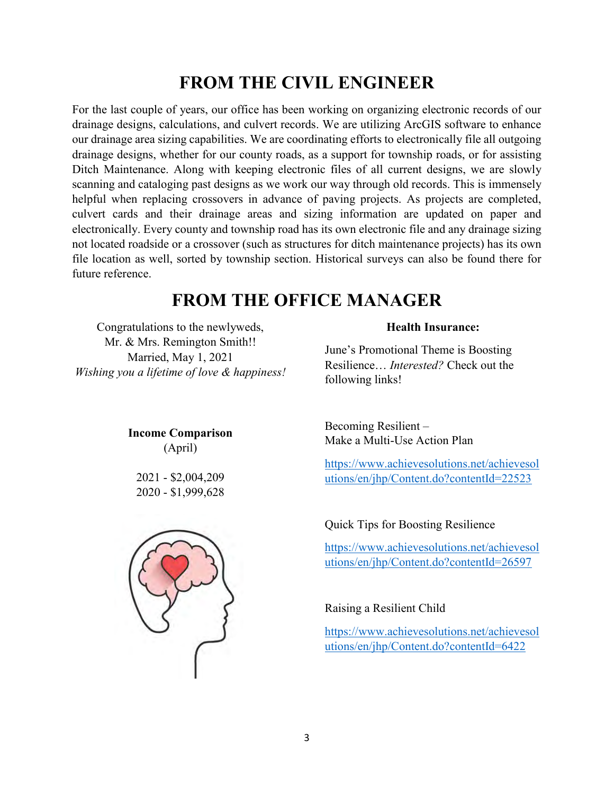## **FROM THE CIVIL ENGINEER**

For the last couple of years, our office has been working on organizing electronic records of our drainage designs, calculations, and culvert records. We are utilizing ArcGIS software to enhance our drainage area sizing capabilities. We are coordinating efforts to electronically file all outgoing drainage designs, whether for our county roads, as a support for township roads, or for assisting Ditch Maintenance. Along with keeping electronic files of all current designs, we are slowly scanning and cataloging past designs as we work our way through old records. This is immensely helpful when replacing crossovers in advance of paving projects. As projects are completed, culvert cards and their drainage areas and sizing information are updated on paper and electronically. Every county and township road has its own electronic file and any drainage sizing not located roadside or a crossover (such as structures for ditch maintenance projects) has its own file location as well, sorted by township section. Historical surveys can also be found there for future reference.

## **FROM THE OFFICE MANAGER**

Congratulations to the newlyweds, Mr. & Mrs. Remington Smith!! Married, May 1, 2021 *Wishing you a lifetime of love & happiness!* 

> **Income Comparison** (April)

2021 - \$2,004,209 2020 - \$1,999,628



#### **Health Insurance:**

June's Promotional Theme is Boosting Resilience… *Interested?* Check out the following links!

Becoming Resilient – Make a Multi-Use Action Plan

[https://www.achievesolutions.net/achievesol](https://www.achievesolutions.net/achievesolutions/en/jhp/Content.do?contentId=22523) [utions/en/jhp/Content.do?contentId=22523](https://www.achievesolutions.net/achievesolutions/en/jhp/Content.do?contentId=22523)

#### Quick Tips for Boosting Resilience

[https://www.achievesolutions.net/achievesol](https://www.achievesolutions.net/achievesolutions/en/jhp/Content.do?contentId=26597) [utions/en/jhp/Content.do?contentId=26597](https://www.achievesolutions.net/achievesolutions/en/jhp/Content.do?contentId=26597)

#### Raising a Resilient Child

[https://www.achievesolutions.net/achievesol](https://www.achievesolutions.net/achievesolutions/en/jhp/Content.do?contentId=6422) [utions/en/jhp/Content.do?contentId=6422](https://www.achievesolutions.net/achievesolutions/en/jhp/Content.do?contentId=6422)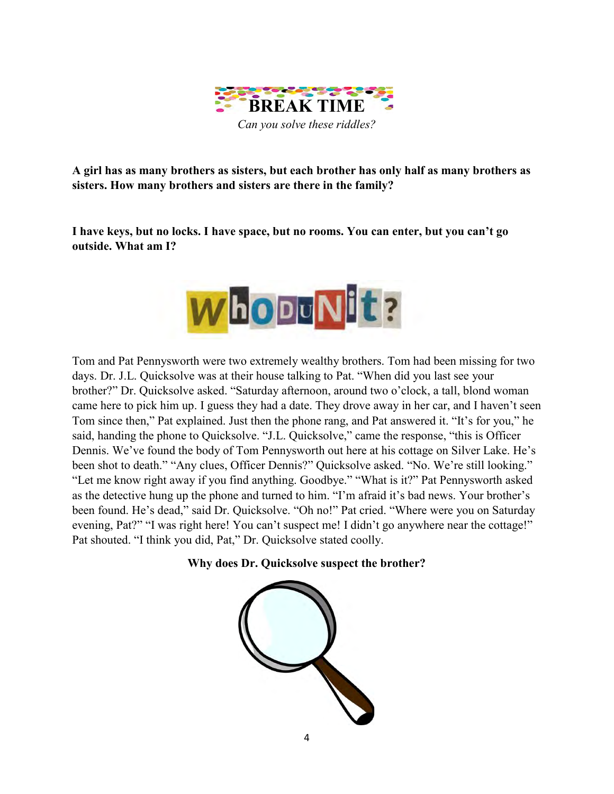

**A girl has as many brothers as sisters, but each brother has only half as many brothers as sisters. How many brothers and sisters are there in the family?**

**I have keys, but no locks. I have space, but no rooms. You can enter, but you can't go outside. What am I?**



Tom and Pat Pennysworth were two extremely wealthy brothers. Tom had been missing for two days. Dr. J.L. Quicksolve was at their house talking to Pat. "When did you last see your brother?" Dr. Quicksolve asked. "Saturday afternoon, around two o'clock, a tall, blond woman came here to pick him up. I guess they had a date. They drove away in her car, and I haven't seen Tom since then," Pat explained. Just then the phone rang, and Pat answered it. "It's for you," he said, handing the phone to Quicksolve. "J.L. Quicksolve," came the response, "this is Officer Dennis. We've found the body of Tom Pennysworth out here at his cottage on Silver Lake. He's been shot to death." "Any clues, Officer Dennis?" Quicksolve asked. "No. We're still looking." "Let me know right away if you find anything. Goodbye." "What is it?" Pat Pennysworth asked as the detective hung up the phone and turned to him. "I'm afraid it's bad news. Your brother's been found. He's dead," said Dr. Quicksolve. "Oh no!" Pat cried. "Where were you on Saturday evening, Pat?" "I was right here! You can't suspect me! I didn't go anywhere near the cottage!" Pat shouted. "I think you did, Pat," Dr. Quicksolve stated coolly.

**Why does Dr. Quicksolve suspect the brother?**